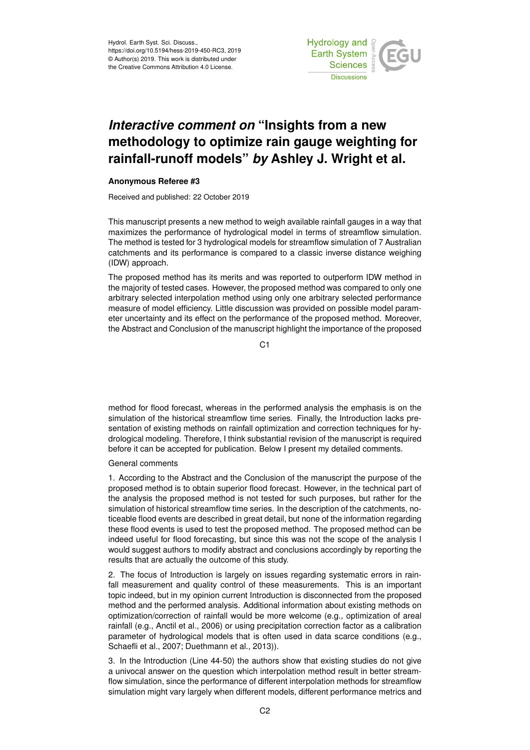

# *Interactive comment on* **"Insights from a new methodology to optimize rain gauge weighting for rainfall-runoff models"** *by* **Ashley J. Wright et al.**

## **Anonymous Referee #3**

Received and published: 22 October 2019

This manuscript presents a new method to weigh available rainfall gauges in a way that maximizes the performance of hydrological model in terms of streamflow simulation. The method is tested for 3 hydrological models for streamflow simulation of 7 Australian catchments and its performance is compared to a classic inverse distance weighing (IDW) approach.

The proposed method has its merits and was reported to outperform IDW method in the majority of tested cases. However, the proposed method was compared to only one arbitrary selected interpolation method using only one arbitrary selected performance measure of model efficiency. Little discussion was provided on possible model parameter uncertainty and its effect on the performance of the proposed method. Moreover, the Abstract and Conclusion of the manuscript highlight the importance of the proposed

C<sub>1</sub>

method for flood forecast, whereas in the performed analysis the emphasis is on the simulation of the historical streamflow time series. Finally, the Introduction lacks presentation of existing methods on rainfall optimization and correction techniques for hydrological modeling. Therefore, I think substantial revision of the manuscript is required before it can be accepted for publication. Below I present my detailed comments.

## General comments

1. According to the Abstract and the Conclusion of the manuscript the purpose of the proposed method is to obtain superior flood forecast. However, in the technical part of the analysis the proposed method is not tested for such purposes, but rather for the simulation of historical streamflow time series. In the description of the catchments, noticeable flood events are described in great detail, but none of the information regarding these flood events is used to test the proposed method. The proposed method can be indeed useful for flood forecasting, but since this was not the scope of the analysis I would suggest authors to modify abstract and conclusions accordingly by reporting the results that are actually the outcome of this study.

2. The focus of Introduction is largely on issues regarding systematic errors in rainfall measurement and quality control of these measurements. This is an important topic indeed, but in my opinion current Introduction is disconnected from the proposed method and the performed analysis. Additional information about existing methods on optimization/correction of rainfall would be more welcome (e.g., optimization of areal rainfall (e.g., Anctil et al., 2006) or using precipitation correction factor as a calibration parameter of hydrological models that is often used in data scarce conditions (e.g., Schaefli et al., 2007; Duethmann et al., 2013)).

3. In the Introduction (Line 44-50) the authors show that existing studies do not give a univocal answer on the question which interpolation method result in better streamflow simulation, since the performance of different interpolation methods for streamflow simulation might vary largely when different models, different performance metrics and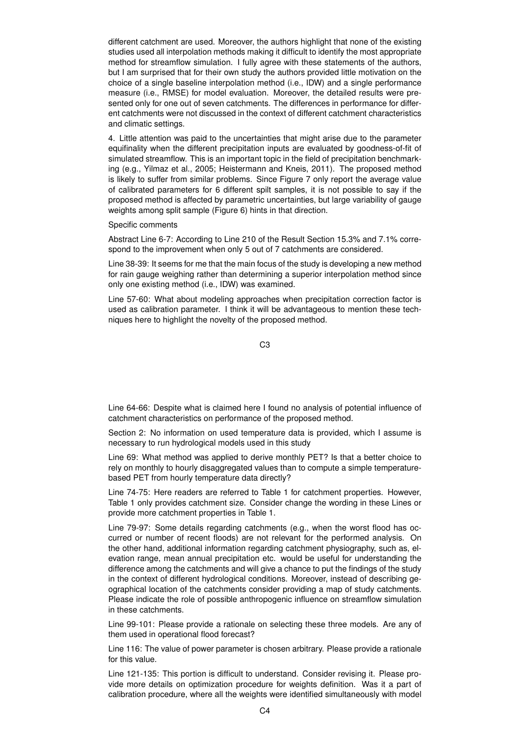different catchment are used. Moreover, the authors highlight that none of the existing studies used all interpolation methods making it difficult to identify the most appropriate method for streamflow simulation. I fully agree with these statements of the authors, but I am surprised that for their own study the authors provided little motivation on the choice of a single baseline interpolation method (i.e., IDW) and a single performance measure (i.e., RMSE) for model evaluation. Moreover, the detailed results were presented only for one out of seven catchments. The differences in performance for different catchments were not discussed in the context of different catchment characteristics and climatic settings.

4. Little attention was paid to the uncertainties that might arise due to the parameter equifinality when the different precipitation inputs are evaluated by goodness-of-fit of simulated streamflow. This is an important topic in the field of precipitation benchmarking (e.g., Yilmaz et al., 2005; Heistermann and Kneis, 2011). The proposed method is likely to suffer from similar problems. Since Figure 7 only report the average value of calibrated parameters for 6 different spilt samples, it is not possible to say if the proposed method is affected by parametric uncertainties, but large variability of gauge weights among split sample (Figure 6) hints in that direction.

Specific comments

Abstract Line 6-7: According to Line 210 of the Result Section 15.3% and 7.1% correspond to the improvement when only 5 out of 7 catchments are considered.

Line 38-39: It seems for me that the main focus of the study is developing a new method for rain gauge weighing rather than determining a superior interpolation method since only one existing method (i.e., IDW) was examined.

Line 57-60: What about modeling approaches when precipitation correction factor is used as calibration parameter. I think it will be advantageous to mention these techniques here to highlight the novelty of the proposed method.

C3

Line 64-66: Despite what is claimed here I found no analysis of potential influence of catchment characteristics on performance of the proposed method.

Section 2: No information on used temperature data is provided, which I assume is necessary to run hydrological models used in this study

Line 69: What method was applied to derive monthly PET? Is that a better choice to rely on monthly to hourly disaggregated values than to compute a simple temperaturebased PET from hourly temperature data directly?

Line 74-75: Here readers are referred to Table 1 for catchment properties. However, Table 1 only provides catchment size. Consider change the wording in these Lines or provide more catchment properties in Table 1.

Line 79-97: Some details regarding catchments (e.g., when the worst flood has occurred or number of recent floods) are not relevant for the performed analysis. On the other hand, additional information regarding catchment physiography, such as, elevation range, mean annual precipitation etc. would be useful for understanding the difference among the catchments and will give a chance to put the findings of the study in the context of different hydrological conditions. Moreover, instead of describing geographical location of the catchments consider providing a map of study catchments. Please indicate the role of possible anthropogenic influence on streamflow simulation in these catchments.

Line 99-101: Please provide a rationale on selecting these three models. Are any of them used in operational flood forecast?

Line 116: The value of power parameter is chosen arbitrary. Please provide a rationale for this value.

Line 121-135: This portion is difficult to understand. Consider revising it. Please provide more details on optimization procedure for weights definition. Was it a part of calibration procedure, where all the weights were identified simultaneously with model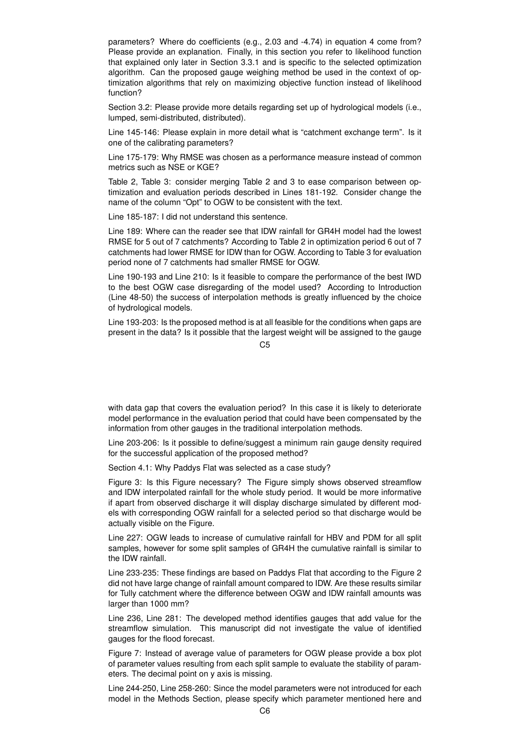parameters? Where do coefficients (e.g., 2.03 and -4.74) in equation 4 come from? Please provide an explanation. Finally, in this section you refer to likelihood function that explained only later in Section 3.3.1 and is specific to the selected optimization algorithm. Can the proposed gauge weighing method be used in the context of optimization algorithms that rely on maximizing objective function instead of likelihood function?

Section 3.2: Please provide more details regarding set up of hydrological models (i.e., lumped, semi-distributed, distributed).

Line 145-146: Please explain in more detail what is "catchment exchange term". Is it one of the calibrating parameters?

Line 175-179: Why RMSE was chosen as a performance measure instead of common metrics such as NSE or KGE?

Table 2, Table 3: consider merging Table 2 and 3 to ease comparison between optimization and evaluation periods described in Lines 181-192. Consider change the name of the column "Opt" to OGW to be consistent with the text.

Line 185-187: I did not understand this sentence.

Line 189: Where can the reader see that IDW rainfall for GR4H model had the lowest RMSE for 5 out of 7 catchments? According to Table 2 in optimization period 6 out of 7 catchments had lower RMSE for IDW than for OGW. According to Table 3 for evaluation period none of 7 catchments had smaller RMSE for OGW.

Line 190-193 and Line 210: Is it feasible to compare the performance of the best IWD to the best OGW case disregarding of the model used? According to Introduction (Line 48-50) the success of interpolation methods is greatly influenced by the choice of hydrological models.

Line 193-203: Is the proposed method is at all feasible for the conditions when gaps are present in the data? Is it possible that the largest weight will be assigned to the gauge

 $C<sub>5</sub>$ 

with data gap that covers the evaluation period? In this case it is likely to deteriorate model performance in the evaluation period that could have been compensated by the information from other gauges in the traditional interpolation methods.

Line 203-206: Is it possible to define/suggest a minimum rain gauge density required for the successful application of the proposed method?

Section 4.1: Why Paddys Flat was selected as a case study?

Figure 3: Is this Figure necessary? The Figure simply shows observed streamflow and IDW interpolated rainfall for the whole study period. It would be more informative if apart from observed discharge it will display discharge simulated by different models with corresponding OGW rainfall for a selected period so that discharge would be actually visible on the Figure.

Line 227: OGW leads to increase of cumulative rainfall for HBV and PDM for all split samples, however for some split samples of GR4H the cumulative rainfall is similar to the IDW rainfall.

Line 233-235: These findings are based on Paddys Flat that according to the Figure 2 did not have large change of rainfall amount compared to IDW. Are these results similar for Tully catchment where the difference between OGW and IDW rainfall amounts was larger than 1000 mm?

Line 236, Line 281: The developed method identifies gauges that add value for the streamflow simulation. This manuscript did not investigate the value of identified gauges for the flood forecast.

Figure 7: Instead of average value of parameters for OGW please provide a box plot of parameter values resulting from each split sample to evaluate the stability of parameters. The decimal point on y axis is missing.

Line 244-250, Line 258-260: Since the model parameters were not introduced for each model in the Methods Section, please specify which parameter mentioned here and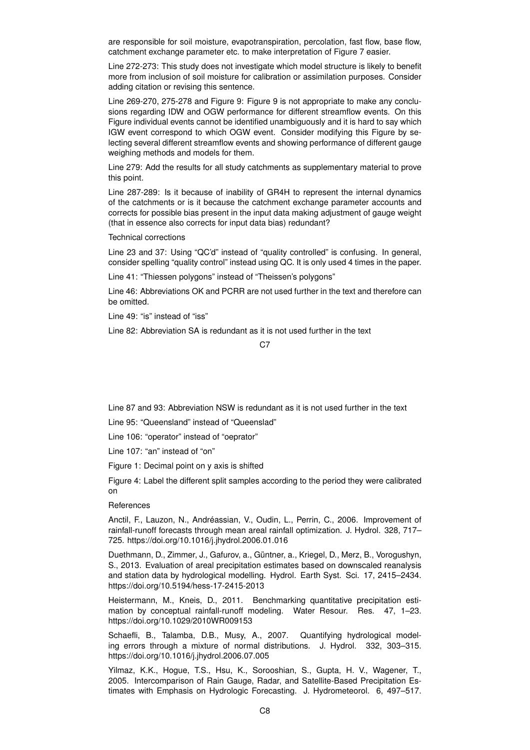are responsible for soil moisture, evapotranspiration, percolation, fast flow, base flow, catchment exchange parameter etc. to make interpretation of Figure 7 easier.

Line 272-273: This study does not investigate which model structure is likely to benefit more from inclusion of soil moisture for calibration or assimilation purposes. Consider adding citation or revising this sentence.

Line 269-270, 275-278 and Figure 9: Figure 9 is not appropriate to make any conclusions regarding IDW and OGW performance for different streamflow events. On this Figure individual events cannot be identified unambiguously and it is hard to say which IGW event correspond to which OGW event. Consider modifying this Figure by selecting several different streamflow events and showing performance of different gauge weighing methods and models for them.

Line 279: Add the results for all study catchments as supplementary material to prove this point.

Line 287-289: Is it because of inability of GR4H to represent the internal dynamics of the catchments or is it because the catchment exchange parameter accounts and corrects for possible bias present in the input data making adjustment of gauge weight (that in essence also corrects for input data bias) redundant?

#### Technical corrections

Line 23 and 37: Using "QC'd" instead of "quality controlled" is confusing. In general, consider spelling "quality control" instead using QC. It is only used 4 times in the paper.

Line 41: "Thiessen polygons" instead of "Theissen's polygons"

Line 46: Abbreviations OK and PCRR are not used further in the text and therefore can be omitted.

Line 49: "is" instead of "iss"

Line 82: Abbreviation SA is redundant as it is not used further in the text

#### C<sub>7</sub>

Line 87 and 93: Abbreviation NSW is redundant as it is not used further in the text

Line 95: "Queensland" instead of "Queenslad"

Line 106: "operator" instead of "oeprator"

Line 107: "an" instead of "on"

Figure 1: Decimal point on y axis is shifted

Figure 4: Label the different split samples according to the period they were calibrated on

## References

Anctil, F., Lauzon, N., Andréassian, V., Oudin, L., Perrin, C., 2006. Improvement of rainfall-runoff forecasts through mean areal rainfall optimization. J. Hydrol. 328, 717– 725. https://doi.org/10.1016/j.jhydrol.2006.01.016

Duethmann, D., Zimmer, J., Gafurov, a., Güntner, a., Kriegel, D., Merz, B., Vorogushyn, S., 2013. Evaluation of areal precipitation estimates based on downscaled reanalysis and station data by hydrological modelling. Hydrol. Earth Syst. Sci. 17, 2415–2434. https://doi.org/10.5194/hess-17-2415-2013

Heistermann, M., Kneis, D., 2011. Benchmarking quantitative precipitation estimation by conceptual rainfall-runoff modeling. Water Resour. Res. 47, 1–23. https://doi.org/10.1029/2010WR009153

Schaefli, B., Talamba, D.B., Musy, A., 2007. Quantifying hydrological modeling errors through a mixture of normal distributions. J. Hydrol. 332, 303–315. https://doi.org/10.1016/j.jhydrol.2006.07.005

Yilmaz, K.K., Hogue, T.S., Hsu, K., Sorooshian, S., Gupta, H. V., Wagener, T., 2005. Intercomparison of Rain Gauge, Radar, and Satellite-Based Precipitation Estimates with Emphasis on Hydrologic Forecasting. J. Hydrometeorol. 6, 497–517.